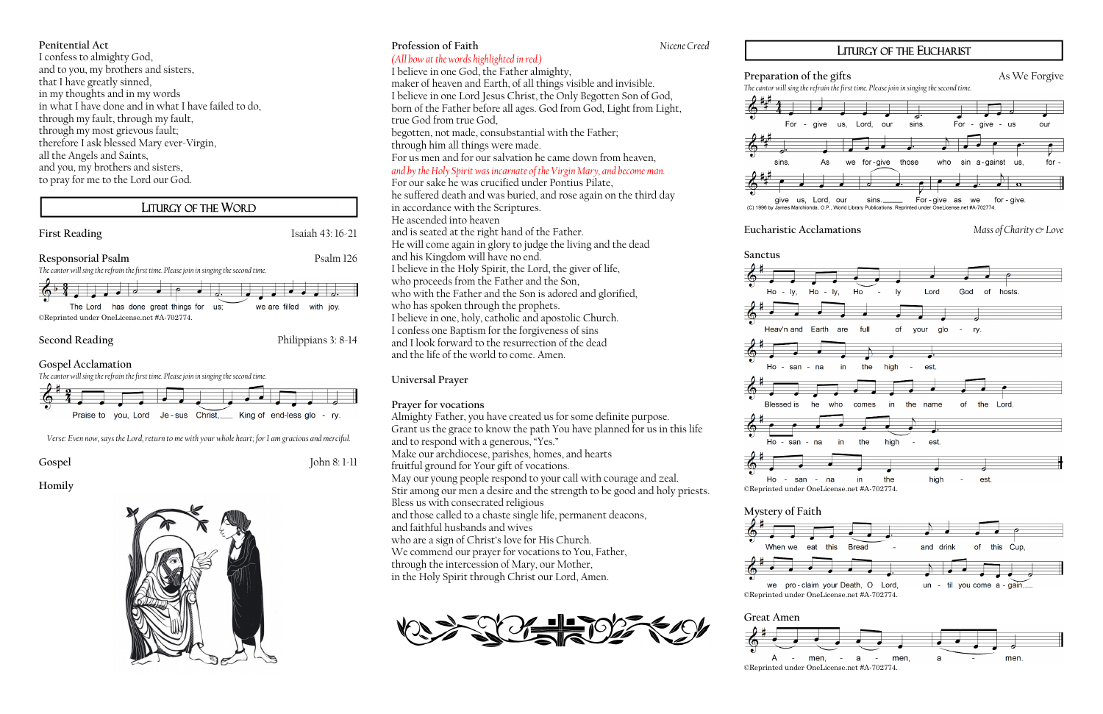### **Penitential Act**

I confess to almighty God, and to you, my brothers and sisters, that I have greatly sinned, in my thoughts and in my words in what I have done and in what I have failed to do, through my fault, through my fault, through my most grievous fault; therefore I ask blessed Mary ever-Virgin, all the Angels and Saints, and you, my brothers and sisters, to pray for me to the Lord our God.

# LITURGY OF THE WORD

**Responsorial Psalm** Psalm 126 *The cantor will sing the refrain the first time. Please join in singing the second time.*





**Second Reading** Philippians 3: 8-14

**Gospel Acclamation**



*Verse: Even now, says the Lord, return to me with your whole heart; for I am gracious and merciful.*

**Gospel** John 8: 1-11

**Homily**



## **Profession of Faith** *Nicene Creed (All bow at the words highlighted in red.)* I believe in one God, the Father almighty, maker of heaven and Earth, of all things visible and invisible. I believe in one Lord Jesus Christ, the Only Begotten Son of God, born of the Father before all ages. God from God, Light from Light, true God from true God, begotten, not made, consubstantial with the Father; through him all things were made. For us men and for our salvation he came down from heaven,

*and by the Holy Spirit was incarnate of the Virgin Mary, and become man.* 

For our sake he was crucified under Pontius Pilate, he suffered death and was buried, and rose again on the third day in accordance with the Scriptures. He ascended into heaven and is seated at the right hand of the Father. He will come again in glory to judge the living and the dead and his Kingdom will have no end. I believe in the Holy Spirit, the Lord, the giver of life, who proceeds from the Father and the Son, who with the Father and the Son is adored and glorified, who has spoken through the prophets. I believe in one, holy, catholic and apostolic Church. I confess one Baptism for the forgiveness of sins and I look forward to the resurrection of the dead and the life of the world to come. Amen.

# **Universal Prayer**

### **Prayer for vocations**

Almighty Father, you have created us for some definite purpose. Grant us the grace to know the path You have planned for us in this life and to respond with a generous, "Yes." Make our archdiocese, parishes, homes, and hearts fruitful ground for Your gift of vocations. May our young people respond to your call with courage and zeal. Stir among our men a desire and the strength to be good and holy priests. Bless us with consecrated religious and those called to a chaste single life, permanent deacons, and faithful husbands and wives who are a sign of Christ's love for His Church. We commend our prayer for vocations to You, Father, through the intercession of Mary, our Mother, in the Holy Spirit through Christ our Lord, Amen.









*The cantor will sing the refrain the first time. Please join in singing the second time.*

(C) 1996 by James Marchionda, O.P., World Library Publications. Reprinted under OneLicense.net #A-702774

**Eucharistic Acclamations** *Mass of Charity & Love*

**Preparation of the gifts** As We Forgive



















# LITURGY OF THE EUCHARIST